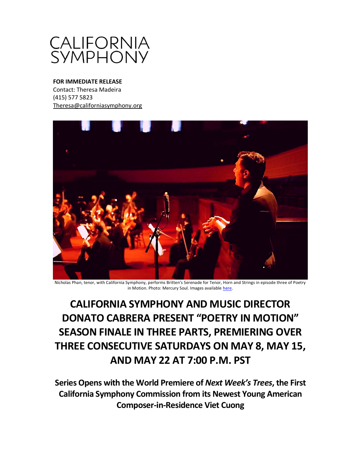

# **FOR IMMEDIATE RELEASE**

Contact: Theresa Madeira (415) 577 5823 [Theresa@californiasymphony.org](mailto:Theresa@californiasymphony.org)



Nicholas Phan, tenor, with California Symphony, performs Britten's Serenade for Tenor, Horn and Strings in episode three of Poetry in Motion. Photo: Mercury Soul. Images availabl[e here.](https://www.dropbox.com/sh/39q44votkwehlxm/AAB8AbChMueyJbbgxAK6Trtfa?dl=0)

**CALIFORNIA SYMPHONY AND MUSIC DIRECTOR DONATO CABRERA PRESENT "POETRY IN MOTION" SEASON FINALE IN THREE PARTS, PREMIERING OVER THREE CONSECUTIVE SATURDAYS ON MAY 8, MAY 15, AND MAY 22 AT 7:00 P.M. PST**

**Series Opens with the World Premiere of** *Next Week's Trees***, the First California Symphony Commission from its Newest Young American Composer-in-Residence Viet Cuong**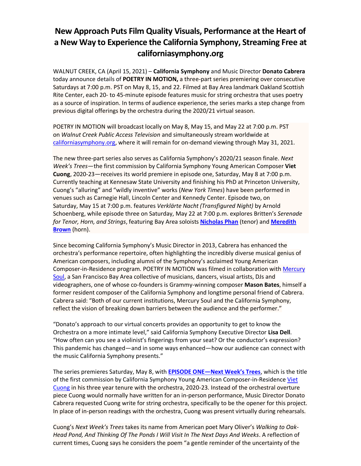# **New Approach Puts Film Quality Visuals, Performance at the Heart of a New Way to Experience the California Symphony, Streaming Free at californiasymphony.org**

WALNUT CREEK, CA (April 15, 2021) – **California Symphony** and Music Director **Donato Cabrera** today announce details of **POETRY IN MOTION,** a three-part series premiering over consecutive Saturdays at 7:00 p.m. PST on May 8, 15, and 22. Filmed at Bay Area landmark Oakland Scottish Rite Center, each 20- to 45-minute episode features music for string orchestra that uses poetry as a source of inspiration. In terms of audience experience, the series marks a step change from previous digital offerings by the orchestra during the 2020/21 virtual season.

POETRY IN MOTION will broadcast locally on May 8, May 15, and May 22 at 7:00 p.m. PST on *Walnut Creek Public Access Television* and simultaneously stream worldwide at [californiasymphony.org,](https://www.californiasymphony.org/) where it will remain for on-demand viewing through May 31, 2021.

The new three-part series also serves as California Symphony's 2020/21 season finale. *Next Week's Trees*—the first commission by California Symphony Young American Composer **Viet Cuong**, 2020-23—receives its world premiere in episode one, Saturday, May 8 at 7:00 p.m. Currently teaching at Kennesaw State University and finishing his PhD at Princeton University, Cuong's "alluring" and "wildly inventive" works (*New York Times*) have been performed in venues such as Carnegie Hall, Lincoln Center and Kennedy Center. Episode two, on Saturday, May 15 at 7:00 p.m. features *Verklärte Nacht (Transfigured Night)* by Arnold Schoenberg, while episode three on Saturday, May 22 at 7:00 p.m. explores Britten's *Serenade for Tenor, Horn, and Strings*, featuring Bay Area soloists **[Nicholas](http://nicholas-phan.com/about) Phan** (tenor) and **[Meredith](https://www.californiasymphony.org/people/meredith-brown/) [Brown](https://www.californiasymphony.org/people/meredith-brown/)** (horn).

Since becoming California Symphony's Music Director in 2013, Cabrera has enhanced the orchestra's performance repertoire, often highlighting the incredibly diverse musical genius of American composers, including alumni of the Symphony's acclaimed Young American Composer-in-Residence program. POETRY IN MOTION was filmed in collaboration with [Mercury](http://mercurysoul.com/)  [Soul,](http://mercurysoul.com/) a San Francisco Bay Area collective of musicians, dancers, visual artists, DJs and videographers, one of whose co-founders is Grammy-winning composer **Mason Bates**, himself a former resident composer of the California Symphony and longtime personal friend of Cabrera. Cabrera said: "Both of our current institutions, Mercury Soul and the California Symphony, reflect the vision of breaking down barriers between the audience and the performer."

"Donato's approach to our virtual concerts provides an opportunity to get to know the Orchestra on a more intimate level," said California Symphony Executive Director **Lisa Dell**. "How often can you see a violinist's fingerings from your seat? Or the conductor's expression? This pandemic has changed—and in some ways enhanced—how our audience can connect with the music California Symphony presents."

The series premieres Saturday, May 8, with **EPISODE ONE[—Next Week's Trees](https://www.californiasymphony.org/shows/poetry-in-motion-episode-1/)**, which is the title of the first commission by California Symphony Young American Composer-in-Residence [Viet](https://www.californiasymphony.org/people/viet-cuong/)  [Cuong](https://www.californiasymphony.org/people/viet-cuong/) in his three year tenure with the orchestra, 2020-23. Instead of the orchestral overture piece Cuong would normally have written for an in-person performance, Music Director Donato Cabrera requested Cuong write for string orchestra, specifically to be the opener for this project. In place of in-person readings with the orchestra, Cuong was present virtually during rehearsals.

Cuong's *Next Week's Trees* takes its name from American poet Mary Oliver's *Walking to Oak-Head Pond, And Thinking Of The Ponds I Will Visit In The Next Days And Weeks*. A reflection of current times, Cuong says he considers the poem "a gentle reminder of the uncertainty of the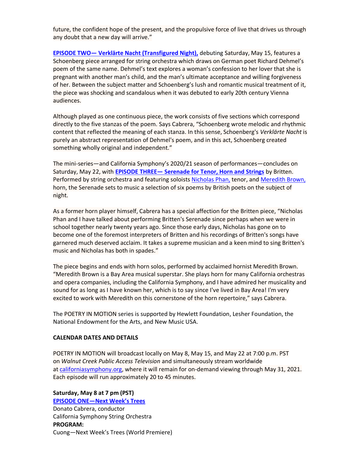future, the confident hope of the present, and the propulsive force of live that drives us through any doubt that a new day will arrive."

**EPISODE TWO— [Verklärte Nacht \(Transfigured Night\),](https://www.californiasymphony.org/shows/poetry-in-motion-episode-2/)** debuting Saturday, May 15, features a Schoenberg piece arranged for string orchestra which draws on German poet Richard Dehmel's poem of the same name. Dehmel's text explores a woman's confession to her lover that she is pregnant with another man's child, and the man's ultimate acceptance and willing forgiveness of her. Between the subject matter and Schoenberg's lush and romantic musical treatment of it, the piece was shocking and scandalous when it was debuted to early 20th century Vienna audiences.

Although played as one continuous piece, the work consists of five sections which correspond directly to the five stanzas of the poem. Says Cabrera, "Schoenberg wrote melodic and rhythmic content that reflected the meaning of each stanza. In this sense, Schoenberg's *Verklärte Nacht* is purely an abstract representation of Dehmel's poem, and in this act, Schoenberg created something wholly original and independent."

The mini-series—and California Symphony's 2020/21 season of performances—concludes on Saturday, May 22, with **EPISODE THREE— [Serenade for Tenor, Horn and Strings](https://www.californiasymphony.org/shows/poetry-in-motion-episode-3/)** by Britten. Performed by string orchestra and featuring soloists [Nicholas Phan,](http://nicholas-phan.com/about) tenor, and [Meredith Brown,](https://www.californiasymphony.org/people/meredith-brown/) horn, the Serenade sets to music a selection of six poems by British poets on the subject of night.

As a former horn player himself, Cabrera has a special affection for the Britten piece, "Nicholas Phan and I have talked about performing Britten's Serenade since perhaps when we were in school together nearly twenty years ago. Since those early days, Nicholas has gone on to become one of the foremost interpreters of Britten and his recordings of Britten's songs have garnered much deserved acclaim. It takes a supreme musician and a keen mind to sing Britten's music and Nicholas has both in spades."

The piece begins and ends with horn solos, performed by acclaimed hornist Meredith Brown. "Meredith Brown is a Bay Area musical superstar. She plays horn for many California orchestras and opera companies, including the California Symphony, and I have admired her musicality and sound for as long as I have known her, which is to say since I've lived in Bay Area! I'm very excited to work with Meredith on this cornerstone of the horn repertoire," says Cabrera.

The POETRY IN MOTION series is supported by Hewlett Foundation, Lesher Foundation, the National Endowment for the Arts, and New Music USA.

## **CALENDAR DATES AND DETAILS**

POETRY IN MOTION will broadcast locally on May 8, May 15, and May 22 at 7:00 p.m. PST on *Walnut Creek Public Access Television* and simultaneously stream worldwide at [californiasymphony.org,](https://www.californiasymphony.org/) where it will remain for on-demand viewing through May 31, 2021. Each episode will run approximately 20 to 45 minutes.

**Saturday, May 8 at 7 pm (PST) EPISODE ONE[—Next Week's Trees](https://www.californiasymphony.org/shows/poetry-in-motion-episode-1/)** Donato Cabrera, conductor California Symphony String Orchestra **PROGRAM:** Cuong—Next Week's Trees (World Premiere)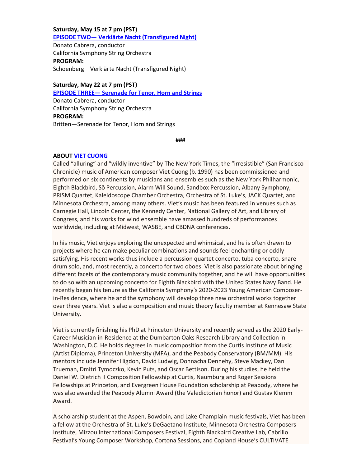# **Saturday, May 15 at 7 pm (PST) EPISODE TWO— [Verklärte Nacht \(Transfigured Night\)](https://www.californiasymphony.org/shows/poetry-in-motion-episode-2/)**

Donato Cabrera, conductor California Symphony String Orchestra **PROGRAM:** Schoenberg—Verklärte Nacht (Transfigured Night)

# **Saturday, May 22 at 7 pm (PST)**

**EPISODE THREE— [Serenade for Tenor, Horn and Strings](https://www.californiasymphony.org/shows/poetry-in-motion-episode-3/)**

Donato Cabrera, conductor California Symphony String Orchestra **PROGRAM:** Britten—Serenade for Tenor, Horn and Strings

#### **###**

# **ABOU[T VIET CUONG](https://www.californiasymphony.org/people/viet-cuong/)**

Called "alluring" and "wildly inventive" by The New York Times, the "irresistible" (San Francisco Chronicle) music of American composer Viet Cuong (b. 1990) has been commissioned and performed on six continents by musicians and ensembles such as the New York Philharmonic, Eighth Blackbird, Sō Percussion, Alarm Will Sound, Sandbox Percussion, Albany Symphony, PRISM Quartet, Kaleidoscope Chamber Orchestra, Orchestra of St. Luke's, JACK Quartet, and Minnesota Orchestra, among many others. Viet's music has been featured in venues such as Carnegie Hall, Lincoln Center, the Kennedy Center, National Gallery of Art, and Library of Congress, and his works for wind ensemble have amassed hundreds of performances worldwide, including at Midwest, WASBE, and CBDNA conferences.

In his music, Viet enjoys exploring the unexpected and whimsical, and he is often drawn to projects where he can make peculiar combinations and sounds feel enchanting or oddly satisfying. His recent works thus include a percussion quartet concerto, tuba concerto, snare drum solo, and, most recently, a concerto for two oboes. Viet is also passionate about bringing different facets of the contemporary music community together, and he will have opportunities to do so with an upcoming concerto for Eighth Blackbird with the United States Navy Band. He recently began his tenure as the California Symphony's 2020-2023 Young American Composerin-Residence, where he and the symphony will develop three new orchestral works together over three years. Viet is also a composition and music theory faculty member at Kennesaw State University.

Viet is currently finishing his PhD at Princeton University and recently served as the 2020 Early-Career Musician-in-Residence at the Dumbarton Oaks Research Library and Collection in Washington, D.C. He holds degrees in music composition from the Curtis Institute of Music (Artist Diploma), Princeton University (MFA), and the Peabody Conservatory (BM/MM). His mentors include Jennifer Higdon, David Ludwig, Donnacha Dennehy, Steve Mackey, Dan Trueman, Dmitri Tymoczko, Kevin Puts, and Oscar Bettison. During his studies, he held the Daniel W. Dietrich II Composition Fellowship at Curtis, Naumburg and Roger Sessions Fellowships at Princeton, and Evergreen House Foundation scholarship at Peabody, where he was also awarded the Peabody Alumni Award (the Valedictorian honor) and Gustav Klemm Award.

A scholarship student at the Aspen, Bowdoin, and Lake Champlain music festivals, Viet has been a fellow at the Orchestra of St. Luke's DeGaetano Institute, Minnesota Orchestra Composers Institute, Mizzou International Composers Festival, Eighth Blackbird Creative Lab, Cabrillo Festival's Young Composer Workshop, Cortona Sessions, and Copland House's CULTIVATE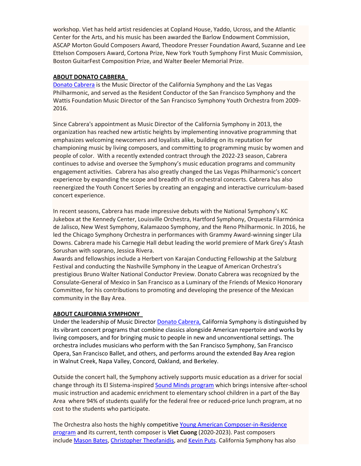workshop. Viet has held artist residencies at Copland House, Yaddo, Ucross, and the Atlantic Center for the Arts, and his music has been awarded the Barlow Endowment Commission, ASCAP Morton Gould Composers Award, Theodore Presser Foundation Award, Suzanne and Lee Ettelson Composers Award, Cortona Prize, New York Youth Symphony First Music Commission, Boston GuitarFest Composition Prize, and Walter Beeler Memorial Prize.

#### **ABOUT DONATO CABRERA**

[Donato Cabrera](http://www.donatocabrera.com/) is the Music Director of the California Symphony and the Las Vegas Philharmonic, and served as the Resident Conductor of the San Francisco Symphony and the Wattis Foundation Music Director of the San Francisco Symphony Youth Orchestra from 2009- 2016.

Since Cabrera's appointment as Music Director of the California Symphony in 2013, the organization has reached new artistic heights by implementing innovative programming that emphasizes welcoming newcomers and loyalists alike, building on its reputation for championing music by living composers, and committing to programming music by women and people of color. With a recently extended contract through the 2022-23 season, Cabrera continues to advise and oversee the Symphony's music education programs and community engagement activities. Cabrera has also greatly changed the Las Vegas Philharmonic's concert experience by expanding the scope and breadth of its orchestral concerts. Cabrera has also reenergized the Youth Concert Series by creating an engaging and interactive curriculum-based concert experience.

In recent seasons, Cabrera has made impressive debuts with the National Symphony's KC Jukebox at the Kennedy Center, Louisville Orchestra, Hartford Symphony, Orquesta Filarmónica de Jalisco, New West Symphony, Kalamazoo Symphony, and the Reno Philharmonic. In 2016, he led the Chicago Symphony Orchestra in performances with Grammy Award-winning singer Lila Downs. Cabrera made his Carnegie Hall debut leading the world premiere of Mark Grey's Ătash Sorushan with soprano, Jessica Rivera.

Awards and fellowships include a Herbert von Karajan Conducting Fellowship at the Salzburg Festival and conducting the Nashville Symphony in the League of American Orchestra's prestigious Bruno Walter National Conductor Preview. Donato Cabrera was recognized by the Consulate-General of Mexico in San Francisco as a Luminary of the Friends of Mexico Honorary Committee, for his contributions to promoting and developing the presence of the Mexican community in the Bay Area.

## **ABOUT CALIFORNIA SYMPHONY**

Under the leadership of Music Director Donato Cabrera, California Symphony is distinguished by its vibrant concert programs that combine classics alongside American repertoire and works by living composers, and for bringing music to people in new and unconventional settings. The orchestra includes musicians who perform with the San Francisco Symphony, San Francisco Opera, San Francisco Ballet, and others, and performs around the extended Bay Area region in Walnut Creek, Napa Valley, Concord, Oakland, and Berkeley.

Outside the concert hall, the Symphony actively supports music education as a driver for social change through its El Sistema-inspired [Sound Minds program](http://www.californiasymphony.org/sound-minds) which brings intensive after-school music instruction and academic enrichment to elementary school children in a part of the Bay Area where 94% of students qualify for the federal free or reduced-price lunch program, at no cost to the students who participate.

The Orchestra also hosts the highly competitive [Young American Composer-in-Residence](http://www.californiasymphony.org/young-american-composer-in-residence)  [program](http://www.californiasymphony.org/young-american-composer-in-residence) and its current, tenth composer is **Viet Cuong** (2020-2023). Past composers include [Mason Bates,](http://www.masonbates.com/) Christopher [Theofanidis,](http://www.theofanidismusic.com/) and [Kevin Puts.](http://www.kevinputs.com/) California Symphony has also